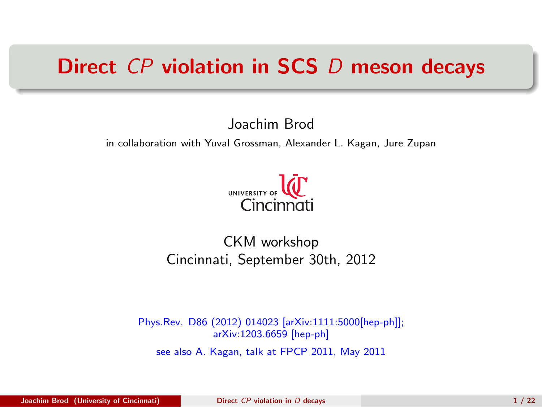### Direct CP violation in SCS D meson decays

#### Joachim Brod

in collaboration with Yuval Grossman, Alexander L. Kagan, Jure Zupan

<span id="page-0-0"></span>

### CKM workshop Cincinnati, September 30th, 2012

Phys.Rev. D86 (2012) 014023 [arXiv:1111:5000[hep-ph]]; arXiv:1203.6659 [hep-ph] see also A. Kagan, talk at FPCP 2011, May 2011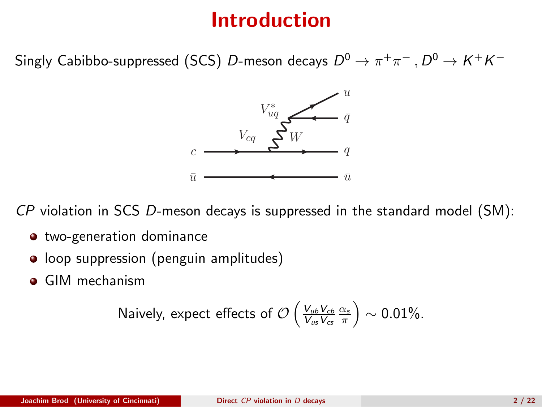## Introduction

Singly Cabibbo-suppressed (SCS)  $D$ -meson decays  $D^0 \to \pi^+ \pi^-$  ,  $D^0 \to K^+ K^-$ 



CP violation in SCS D-meson decays is suppressed in the standard model (SM):

- two-generation dominance
- loop suppression (penguin amplitudes)
- GIM mechanism

Naively, expect effects of 
$$
\mathcal{O}\left(\frac{V_{ub}V_{cb}}{V_{us}V_{cs}}\frac{\alpha_s}{\pi}\right) \sim 0.01\%
$$
.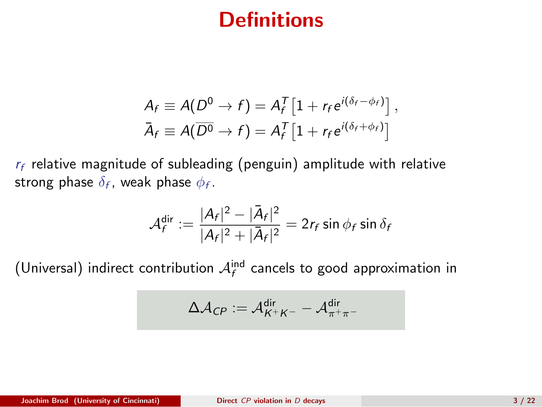## **Definitions**

$$
A_f \equiv A(D^0 \to f) = A_f^T \left[ 1 + r_f e^{i(\delta_f - \phi_f)} \right],
$$
  

$$
\bar{A}_f \equiv A(\overline{D^0} \to f) = A_f^T \left[ 1 + r_f e^{i(\delta_f + \phi_f)} \right]
$$

 $r_f$  relative magnitude of subleading (penguin) amplitude with relative strong phase  $\delta_{f}$ , weak phase  $\phi_{f}$ .

$$
\mathcal{A}_f^{\text{dir}} := \frac{|A_f|^2 - |\bar{A}_f|^2}{|A_f|^2 + |\bar{A}_f|^2} = 2r_f \sin \phi_f \sin \delta_f
$$

(Universal) indirect contribution  $A_f^{\text{ind}}$  cancels to good approximation in

$$
\Delta\mathcal{A}_{\textstyle{CP}}:=\mathcal{A}_{\textstyle{K^+K^-}}^{\text{dir}}-\mathcal{A}_{\pi^+\pi^-}^{\text{dir}}
$$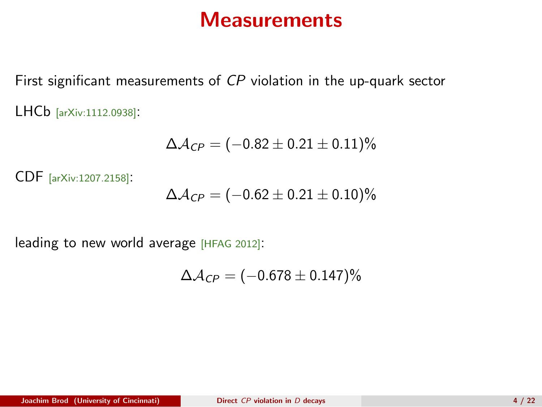### **Measurements**

First significant measurements of CP violation in the up-quark sector LHCb [arXiv:1112.0938]:

$$
\Delta {\cal A}_{\it CP} = (-0.82 \pm 0.21 \pm 0.11)\%
$$

CDF [arXiv:1207.2158]:

$$
\Delta A_{CP} = (-0.62 \pm 0.21 \pm 0.10)\%
$$

leading to new world average [HFAG 2012]:

$$
\Delta\mathcal{A}_{\textsf{CP}}=(-0.678\pm0.147)\%
$$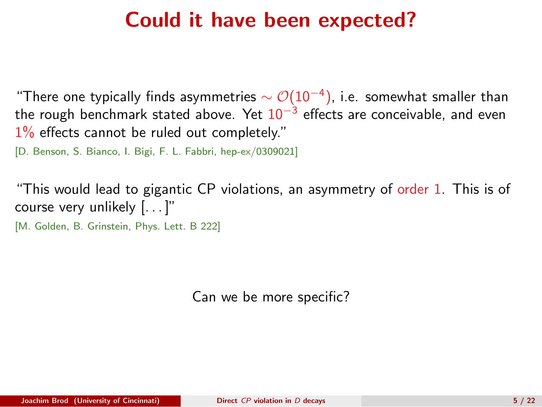### Could it have been expected?

"There one typically finds asymmetries  $\sim \mathcal{O}(10^{-4})$ , i.e. somewhat smaller than the rough benchmark stated above. Yet 10<sup>−3</sup> effects are conceivable, and even  $1\%$  effects cannot be ruled out completely."

[D. Benson, S. Bianco, I. Bigi, F. L. Fabbri, hep-ex/0309021]

"This would lead to gigantic CP violations, an asymmetry of order 1. This is of course very unlikely [. . . ]"

[M. Golden, B. Grinstein, Phys. Lett. B 222]

Can we be more specific?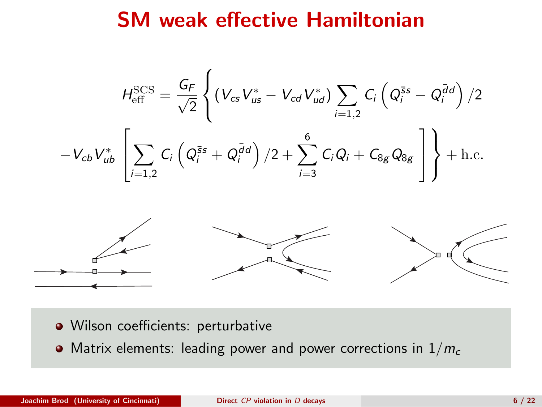### SM weak effective Hamiltonian

$$
H_{\text{eff}}^{\text{SCS}} = \frac{G_F}{\sqrt{2}} \left\{ \left( V_{cs} V_{us}^* - V_{cd} V_{ud}^* \right) \sum_{i=1,2} C_i \left( Q_i^{\bar{s}s} - Q_i^{\bar{d}d} \right) / 2 - V_{cb} V_{ub}^* \left[ \sum_{i=1,2} C_i \left( Q_i^{\bar{s}s} + Q_i^{\bar{d}d} \right) / 2 + \sum_{i=3}^6 C_i Q_i + C_{8g} Q_{8g} \right] \right\} + \text{h.c.}
$$



- · Wilson coefficients: perturbative
- Matrix elements: leading power and power corrections in  $1/m_c$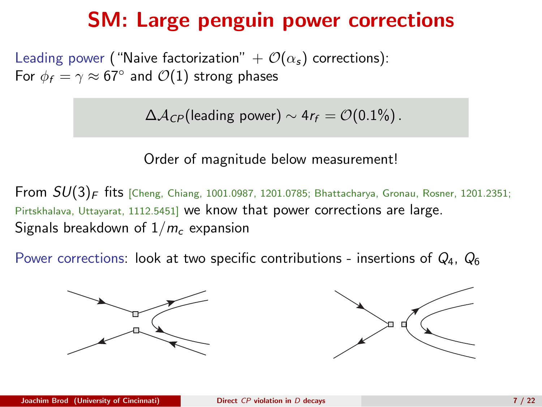### SM: Large penguin power corrections

Leading power ("Naive factorization"  $+ O(\alpha_s)$  corrections): For  $\phi_f = \gamma \approx 67^\circ$  and  $\mathcal{O}(1)$  strong phases

 $\Delta A_{CP}$ (leading power) ~ 4r<sub>f</sub> =  $\mathcal{O}(0.1\%)$ .

Order of magnitude below measurement!

**From**  $SU(3)_F$  **fits** [Cheng, Chiang, 1001.0987, 1201.0785; Bhattacharya, Gronau, Rosner, 1201.2351; Pirtskhalava, Uttayarat, 1112.5451] we know that power corrections are large. Signals breakdown of  $1/m_c$  expansion

Power corrections: look at two specific contributions - insertions of  $Q_4$ ,  $Q_6$ 



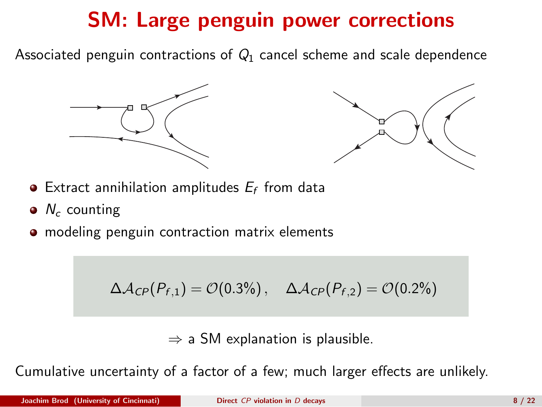# SM: Large penguin power corrections

Associated penguin contractions of  $Q_1$  cancel scheme and scale dependence





- $\bullet$  Extract annihilation amplitudes  $E_f$  from data
- $\bullet$  N<sub>c</sub> counting
- **•** modeling penguin contraction matrix elements

$$
\Delta A_{\text{CP}}(P_{f,1}) = \mathcal{O}(0.3\%) , \quad \Delta A_{\text{CP}}(P_{f,2}) = \mathcal{O}(0.2\%)
$$

 $\Rightarrow$  a SM explanation is plausible.

Cumulative uncertainty of a factor of a few; much larger effects are unlikely.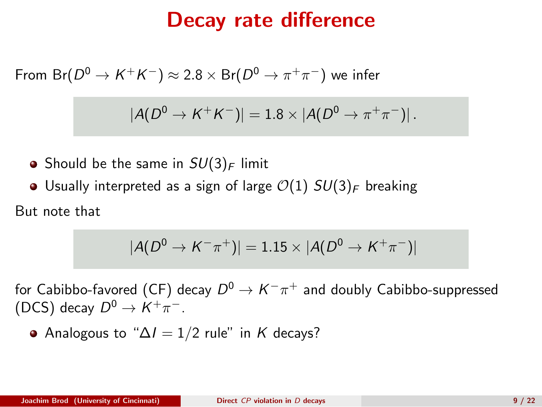### Decay rate difference

From  ${\sf Br}(D^0 \to K^+K^-) \approx 2.8 \times {\sf Br}(D^0 \to \pi^+\pi^-)$  we infer

$$
|A(D^0 \to K^+K^-)| = 1.8 \times |A(D^0 \to \pi^+\pi^-)|.
$$

- Should be the same in  $SU(3)_F$  limit
- Usually interpreted as a sign of large  $\mathcal{O}(1)$   $SU(3)_F$  breaking

But note that

$$
|A(D^0 \to K^- \pi^+)| = 1.15 \times |A(D^0 \to K^+ \pi^-)|
$$

for Cabibbo-favored (CF) decay  $D^0 \to K^-\pi^+$  and doubly Cabibbo-suppressed (DCS) decay  $D^0 \rightarrow K^+\pi^-$ .

Analogous to " $\Delta l = 1/2$  rule" in K decays?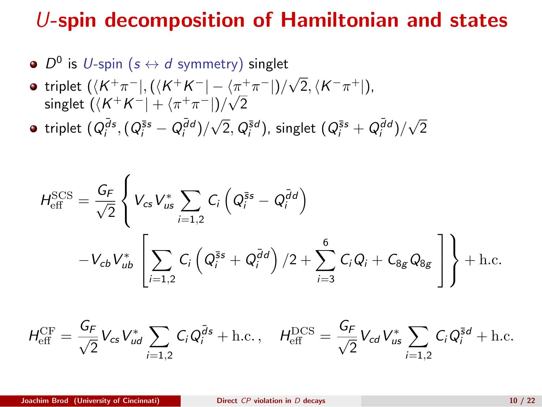### U-spin decomposition of Hamiltonian and states

- $D^0$  is  $U$ -spin  $(s \leftrightarrow d$  symmetry) singlet
- triplet  $(\langle K^+\pi^- |, (\langle K^+K^- | \langle \pi^+\pi^- |)/\sqrt{2}, \langle K^-\pi^+ |),$ singlet  $(\langle K^+K^-| + \langle \pi^+\pi^-|)/\sqrt{2}$

triplet  $(Q_i^{\bar{d}s}, (Q_i^{\bar{s}s} - Q_i^{\bar{d}d})/\sqrt{2}, Q_i^{\bar{s}d})$ , singlet  $(Q_i^{\bar{s}s} + Q_i^{\bar{d}d})/\sqrt{2}$ 

$$
H_{\text{eff}}^{\text{SCS}} = \frac{G_F}{\sqrt{2}} \left\{ V_{cs} V_{us}^* \sum_{i=1,2} C_i \left( Q_i^{\bar{s}s} - Q_i^{\bar{d}d} \right) - V_{cb} V_{ub}^* \left[ \sum_{i=1,2} C_i \left( Q_i^{\bar{s}s} + Q_i^{\bar{d}d} \right) / 2 + \sum_{i=3}^6 C_i Q_i + C_{8g} Q_{8g} \right] \right\} + \text{h.c.}
$$

$$
H_{\text{eff}}^{\text{CF}} = \frac{G_F}{\sqrt{2}} V_{cs} V_{ud}^* \sum_{i=1,2} C_i Q_i^{\bar{d}s} + \text{h.c.} \,, \quad H_{\text{eff}}^{\text{DCS}} = \frac{G_F}{\sqrt{2}} V_{cd} V_{us}^* \sum_{i=1,2} C_i Q_i^{\bar{s}d} + \text{h.c.}
$$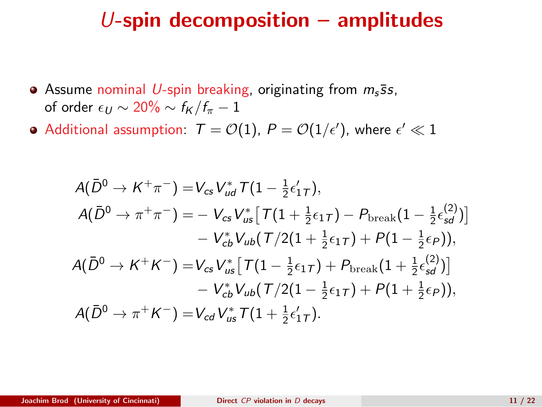### U-spin decomposition  $-$  amplitudes

- Assume nominal U-spin breaking, originating from  $m_s$ ss, of order  $\epsilon_U \sim 20\% \sim f_K/f_\pi - 1$
- Additional assumption:  $\mathcal{T} = \mathcal{O}(1), P = \mathcal{O}(1/\epsilon'),$  where  $\epsilon' \ll 1$

$$
A(\bar{D}^{0} \to K^{+}\pi^{-}) = V_{cs}V_{ud}^{*}T(1 - \frac{1}{2}\epsilon'_{1T}),
$$
  
\n
$$
A(\bar{D}^{0} \to \pi^{+}\pi^{-}) = -V_{cs}V_{us}^{*}[T(1 + \frac{1}{2}\epsilon_{1T}) - P_{break}(1 - \frac{1}{2}\epsilon'_{sd}^{2})]
$$
  
\n
$$
-V_{cb}^{*}V_{ub}(T/2(1 + \frac{1}{2}\epsilon_{1T}) + P(1 - \frac{1}{2}\epsilon_{P})),
$$
  
\n
$$
A(\bar{D}^{0} \to K^{+}K^{-}) = V_{cs}V_{us}^{*}[T(1 - \frac{1}{2}\epsilon_{1T}) + P_{break}(1 + \frac{1}{2}\epsilon'_{sd}^{2})]
$$
  
\n
$$
-V_{cb}^{*}V_{ub}(T/2(1 - \frac{1}{2}\epsilon_{1T}) + P(1 + \frac{1}{2}\epsilon_{P})),
$$
  
\n
$$
A(\bar{D}^{0} \to \pi^{+}K^{-}) = V_{cd}V_{us}^{*}T(1 + \frac{1}{2}\epsilon'_{1T}).
$$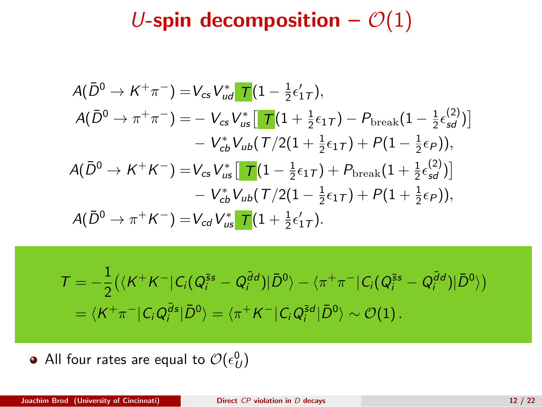# U-spin decomposition  $\mathcal{O}(1)$

$$
A(\bar{D}^{0} \to K^{+}\pi^{-}) = V_{cs}V_{ud}^{*} \mathbf{T}(1 - \frac{1}{2}\epsilon'_{1T}),
$$
  
\n
$$
A(\bar{D}^{0} \to \pi^{+}\pi^{-}) = -V_{cs}V_{us}^{*} [\mathbf{T}(1 + \frac{1}{2}\epsilon_{1T}) - P_{\text{break}}(1 - \frac{1}{2}\epsilon'_{sd}^{2})]
$$
  
\n
$$
-V_{cb}^{*}V_{ub}(\mathbf{T}/2(1 + \frac{1}{2}\epsilon_{1T}) + P(1 - \frac{1}{2}\epsilon_{P})),
$$
  
\n
$$
A(\bar{D}^{0} \to K^{+}K^{-}) = V_{cs}V_{us}^{*} [\mathbf{T}(1 - \frac{1}{2}\epsilon_{1T}) + P_{\text{break}}(1 + \frac{1}{2}\epsilon'_{sd}^{2})]
$$
  
\n
$$
-V_{cb}^{*}V_{ub}(\mathbf{T}/2(1 - \frac{1}{2}\epsilon_{1T}) + P(1 + \frac{1}{2}\epsilon_{P})),
$$
  
\n
$$
A(\bar{D}^{0} \to \pi^{+}K^{-}) = V_{cd}V_{us}^{*} \mathbf{T}(1 + \frac{1}{2}\epsilon'_{1T}).
$$

$$
T = -\frac{1}{2} \left( \langle K^+ K^- | C_i (Q_i^{\overline{s}s} - Q_i^{\overline{d}d}) | \bar{D}^0 \rangle - \langle \pi^+ \pi^- | C_i (Q_i^{\overline{s}s} - Q_i^{\overline{d}d}) | \bar{D}^0 \rangle \right)
$$
  
=  $\langle K^+ \pi^- | C_i Q_i^{\overline{d}s} | \bar{D}^0 \rangle = \langle \pi^+ K^- | C_i Q_i^{\overline{s}d} | \bar{D}^0 \rangle \sim \mathcal{O}(1).$ 

All four rates are equal to  $\mathcal{O}(\epsilon_{U}^{0})$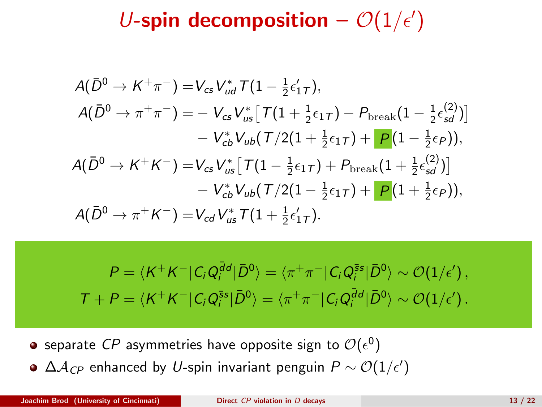# U-spin decomposition  $-\mathcal{O}(1/\epsilon')$

$$
A(\bar{D}^{0} \to K^{+}\pi^{-}) = V_{cs}V_{ud}^{*}T(1 - \frac{1}{2}\epsilon'_{1T}),
$$
  
\n
$$
A(\bar{D}^{0} \to \pi^{+}\pi^{-}) = -V_{cs}V_{us}^{*}[T(1 + \frac{1}{2}\epsilon_{1T}) - P_{\text{break}}(1 - \frac{1}{2}\epsilon'_{sd}^{(2)})]
$$
  
\n
$$
-V_{cb}^{*}V_{ub}(T/2(1 + \frac{1}{2}\epsilon_{1T}) + P(1 - \frac{1}{2}\epsilon_{P})),
$$
  
\n
$$
A(\bar{D}^{0} \to K^{+}K^{-}) = V_{cs}V_{us}^{*}[T(1 - \frac{1}{2}\epsilon_{1T}) + P_{\text{break}}(1 + \frac{1}{2}\epsilon'_{sd}^{(2)})]
$$
  
\n
$$
-V_{cb}^{*}V_{ub}(T/2(1 - \frac{1}{2}\epsilon_{1T}) + P(1 + \frac{1}{2}\epsilon_{P})),
$$
  
\n
$$
A(\bar{D}^{0} \to \pi^{+}K^{-}) = V_{cd}V_{us}^{*}T(1 + \frac{1}{2}\epsilon'_{1T}).
$$

 $P = \langle K^+K^-|C_iQ_i^{\bar{d}d}|\bar{D}^0\rangle = \langle \pi^+\pi^-|C_iQ_i^{\bar{s}s}|\bar{D}^0\rangle \sim \mathcal{O}(1/\epsilon'),$  $T + P = \langle K^+ K^- | C_i Q_i^{\bar{s}s} | \bar{D}^0 \rangle = \langle \pi^+ \pi^- | C_i Q_i^{\bar{d}d} | \bar{D}^0 \rangle \sim \mathcal{O}(1/\epsilon').$ 

- separate  ${\it CP}$  asymmetries have opposite sign to  ${\cal O}(\epsilon^0)$
- $\Delta {\cal A}_{CP}$  enhanced by  $U$ -spin invariant penguin  $P\sim {\cal O}(1/\epsilon')$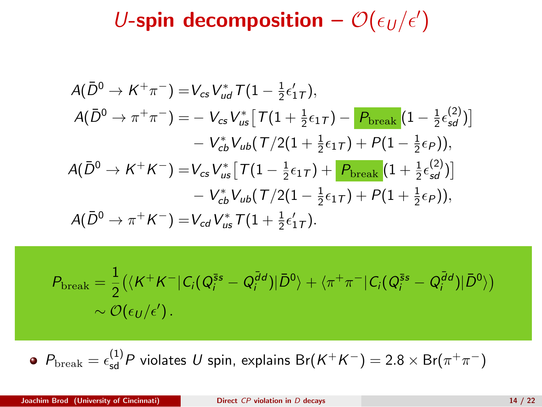U-spin decomposition -  $\mathcal{O}(\epsilon_U/\epsilon')$ 

$$
A(\bar{D}^{0} \to K^{+}\pi^{-}) = V_{cs}V_{ud}^{*}T(1 - \frac{1}{2}\epsilon'_{1T}),
$$
  
\n
$$
A(\bar{D}^{0} \to \pi^{+}\pi^{-}) = -V_{cs}V_{us}^{*}[T(1 + \frac{1}{2}\epsilon_{1T}) - P_{break}(1 - \frac{1}{2}\epsilon'_{sd})]
$$
  
\n
$$
-V_{cb}^{*}V_{ub}(T/2(1 + \frac{1}{2}\epsilon_{1T}) + P(1 - \frac{1}{2}\epsilon_{P})),
$$
  
\n
$$
A(\bar{D}^{0} \to K^{+}K^{-}) = V_{cs}V_{us}^{*}[T(1 - \frac{1}{2}\epsilon_{1T}) + P_{break}(1 + \frac{1}{2}\epsilon'_{sd})]
$$
  
\n
$$
-V_{cb}^{*}V_{ub}(T/2(1 - \frac{1}{2}\epsilon_{1T}) + P(1 + \frac{1}{2}\epsilon_{P})),
$$
  
\n
$$
A(\bar{D}^{0} \to \pi^{+}K^{-}) = V_{cd}V_{us}^{*}T(1 + \frac{1}{2}\epsilon'_{1T}).
$$

$$
\begin{aligned} \mathcal{P}_{\text{break}} &= \frac{1}{2} \big( \langle K^+ K^- \vert C_i (Q_i^{\bar{s} s} - Q_i^{\bar{d} d}) \vert \bar{D}^0 \rangle + \langle \pi^+ \pi^- \vert C_i (Q_i^{\bar{s} s} - Q_i^{\bar{d} d}) \vert \bar{D}^0 \rangle \big) \\ &\sim \mathcal{O}(\epsilon_U / \epsilon') \,. \end{aligned}
$$

 $P_{\rm break} = \epsilon_{\rm sd}^{(1)}P$  violates  $U$  spin, explains  ${\rm Br}(K^+K^-)=2.8\times {\rm Br}(\pi^+\pi^-)$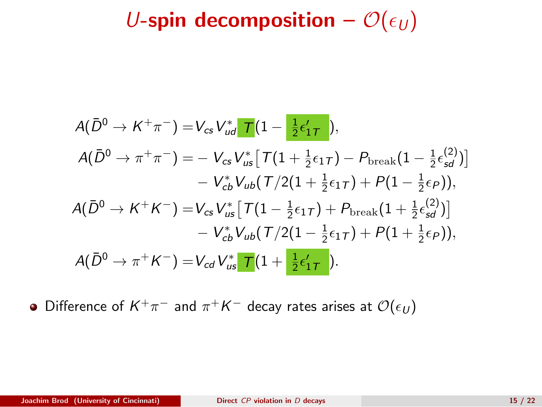U-spin decomposition –  $\mathcal{O}(\epsilon_U)$ 

$$
A(\bar{D}^{0} \to K^{+}\pi^{-}) = V_{cs}V_{ud}^{*} \mathbf{T}(1 - \frac{1}{2}\epsilon_{1T}'),
$$
  
\n
$$
A(\bar{D}^{0} \to \pi^{+}\pi^{-}) = -V_{cs}V_{us}^{*} [\mathbf{T}(1 + \frac{1}{2}\epsilon_{1T}) - P_{break}(1 - \frac{1}{2}\epsilon_{sd}^{(2)})]
$$
  
\n
$$
-V_{cb}^{*}V_{ub}(\mathbf{T}/2(1 + \frac{1}{2}\epsilon_{1T}) + P(1 - \frac{1}{2}\epsilon_{P})),
$$
  
\n
$$
A(\bar{D}^{0} \to K^{+}K^{-}) = V_{cs}V_{us}^{*} [\mathbf{T}(1 - \frac{1}{2}\epsilon_{1T}) + P_{break}(1 + \frac{1}{2}\epsilon_{sd}^{(2)})]
$$
  
\n
$$
-V_{cb}^{*}V_{ub}(\mathbf{T}/2(1 - \frac{1}{2}\epsilon_{1T}) + P(1 + \frac{1}{2}\epsilon_{P})),
$$
  
\n
$$
A(\bar{D}^{0} \to \pi^{+}K^{-}) = V_{cd}V_{us}^{*} \mathbf{T}(1 + \frac{1}{2}\epsilon_{1T}^{'}).
$$

Difference of  $K^+\pi^-$  and  $\pi^+K^-$  decay rates arises at  $\mathcal{O}(\epsilon_U)$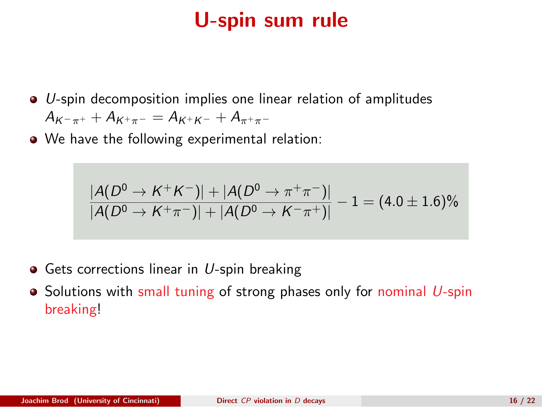## U-spin sum rule

- $\bullet$  U-spin decomposition implies one linear relation of amplitudes  $A_{K^-\pi^+} + A_{K^+\pi^-} = A_{K^+K^-} + A_{\pi^+\pi^-}$
- We have the following experimental relation:

$$
\frac{|A(D^0 \to K^+ K^-)| + |A(D^0 \to \pi^+ \pi^-)|}{|A(D^0 \to K^+ \pi^-)| + |A(D^0 \to K^- \pi^+)|} - 1 = (4.0 \pm 1.6)\%
$$

- $\bullet$  Gets corrections linear in U-spin breaking
- $\bullet$  Solutions with small tuning of strong phases only for nominal U-spin breaking!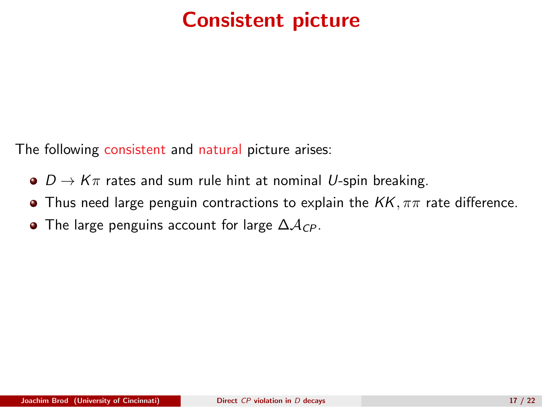# Consistent picture

The following consistent and natural picture arises:

- $\bullet$   $D \rightarrow K\pi$  rates and sum rule hint at nominal U-spin breaking.
- **•** Thus need large penguin contractions to explain the  $KK, \pi\pi$  rate difference.
- The large penguins account for large  $\Delta A_{CP}$ .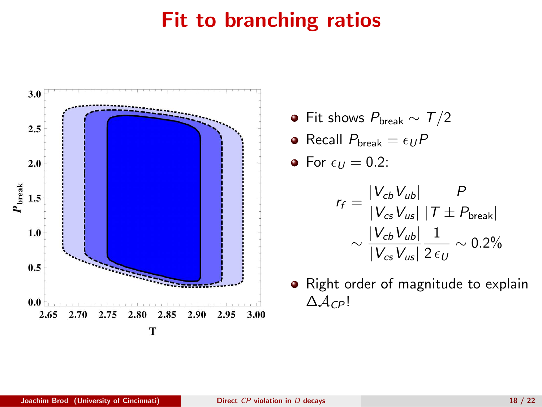# Fit to branching ratios



• Fit shows  $P_{break} \sim T/2$ 

$$
\bullet \hspace{0.1cm} \textsf{Recall} \hspace{0.1cm} P_{\textsf{break}} = \epsilon_U P
$$

• For 
$$
\epsilon_U = 0.2
$$
:

$$
r_f = \frac{|V_{cb}V_{ub}|}{|V_{cs}V_{us}|} \frac{P}{|T \pm P_{break}|}
$$

$$
\sim \frac{|V_{cb}V_{ub}|}{|V_{cs}V_{us}|} \frac{1}{2 \epsilon_U} \sim 0.2\%
$$

• Right order of magnitude to explain  $\Delta A_{CP}!$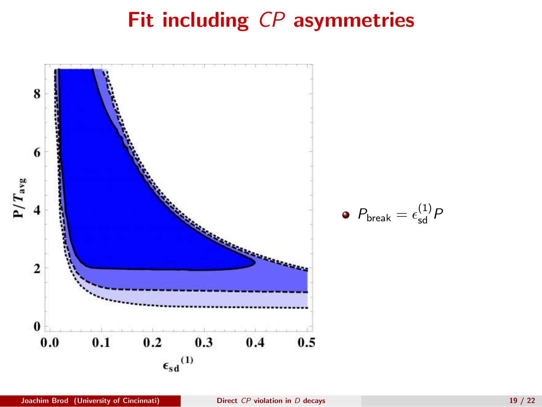# Fit including CP asymmetries

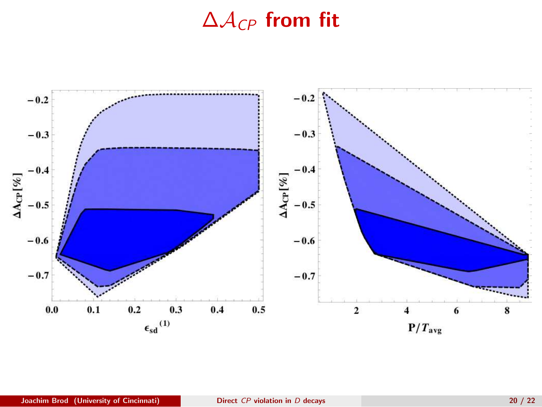## $\Delta A_{CP}$  from fit

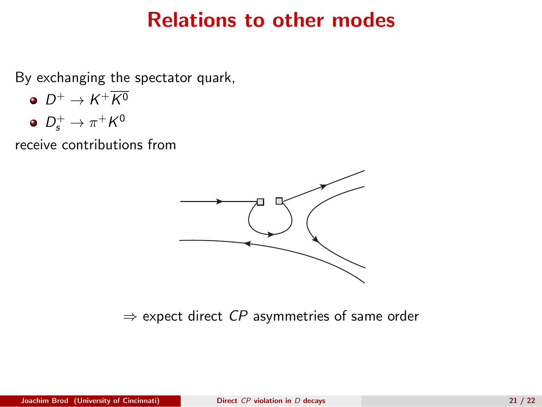### Relations to other modes

By exchanging the spectator quark,

- $D^+\to K^+K^0$
- $D_s^+ \to \pi^+ K^0$

receive contributions from



 $\Rightarrow$  expect direct CP asymmetries of same order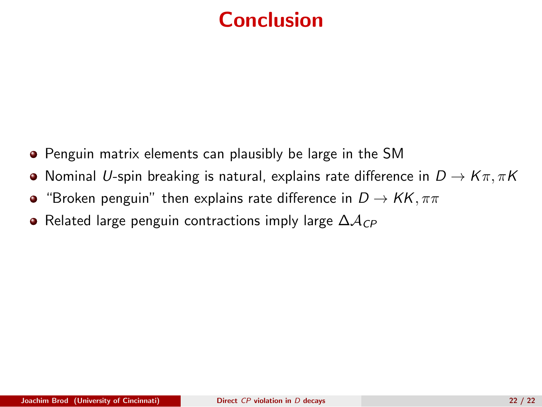# <span id="page-21-0"></span>Conclusion

- Penguin matrix elements can plausibly be large in the SM
- **•** Nominal U-spin breaking is natural, explains rate difference in  $D \to K\pi, \pi K$
- "Broken penguin" then explains rate difference in  $D \to KK, \pi\pi$  $\bullet$
- Related large penguin contractions imply large  $\Delta A_{CP}$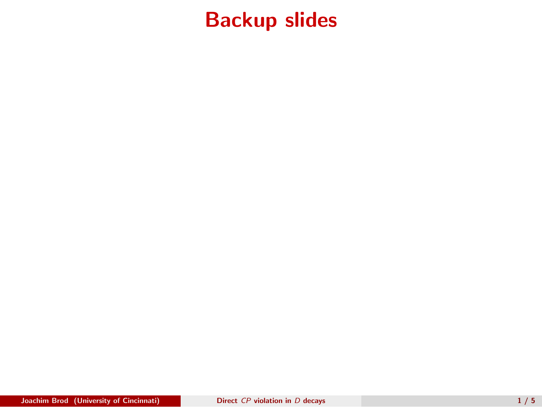## Backup slides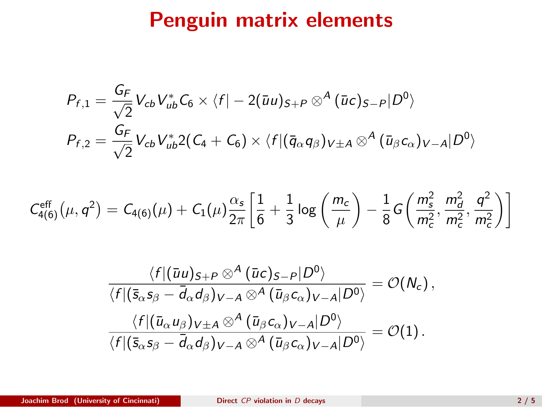## Penguin matrix elements

$$
P_{f,1} = \frac{G_F}{\sqrt{2}} V_{cb} V_{ub}^* C_6 \times \langle f| - 2(\bar{u}u)_{S+P} \otimes^A (\bar{u}c)_{S-P} |D^0 \rangle
$$
  

$$
P_{f,2} = \frac{G_F}{\sqrt{2}} V_{cb} V_{ub}^* 2(C_4 + C_6) \times \langle f|(\bar{q}_{\alpha}q_{\beta})_{V \pm A} \otimes^A (\bar{u}_{\beta}c_{\alpha})_{V-A} |D^0 \rangle
$$

$$
C_{4(6)}^{\text{eff}}(\mu, q^2) = C_{4(6)}(\mu) + C_1(\mu) \frac{\alpha_s}{2\pi} \left[ \frac{1}{6} + \frac{1}{3} \log \left( \frac{m_c}{\mu} \right) - \frac{1}{8} G \left( \frac{m_s^2}{m_c^2}, \frac{m_d^2}{m_c^2}, \frac{q^2}{m_c^2} \right) \right]
$$

$$
\frac{\langle f|(\bar{u}u)_{S+P}\otimes^A(\bar{u}c)_{S-P}|D^0\rangle}{\langle f|(\bar{s}_{\alpha}s_{\beta}-\bar{d}_{\alpha}d_{\beta})_{V-A}\otimes^A(\bar{u}_{\beta}c_{\alpha})_{V-A}|D^0\rangle}=\mathcal{O}(N_c),
$$
  

$$
\frac{\langle f|(\bar{u}_{\alpha}u_{\beta})_{V\pm A}\otimes^A(\bar{u}_{\beta}c_{\alpha})_{V-A}|D^0\rangle}{\langle f|(\bar{s}_{\alpha}s_{\beta}-\bar{d}_{\alpha}d_{\beta})_{V-A}\otimes^A(\bar{u}_{\beta}c_{\alpha})_{V-A}|D^0\rangle}=\mathcal{O}(1).
$$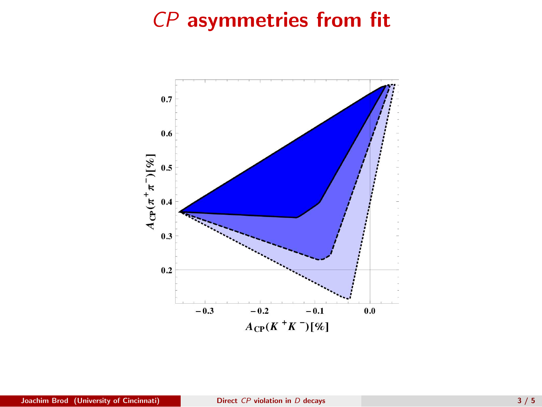# CP asymmetries from fit

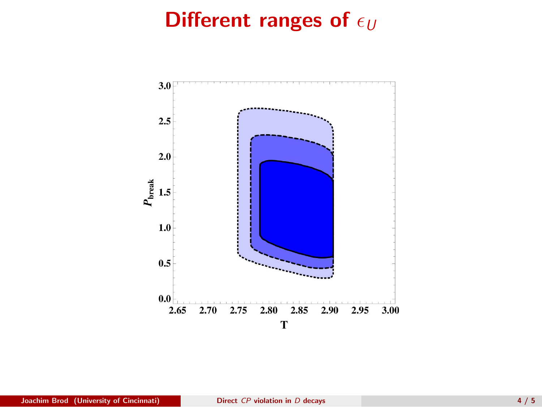# Different ranges of  $\epsilon_U$